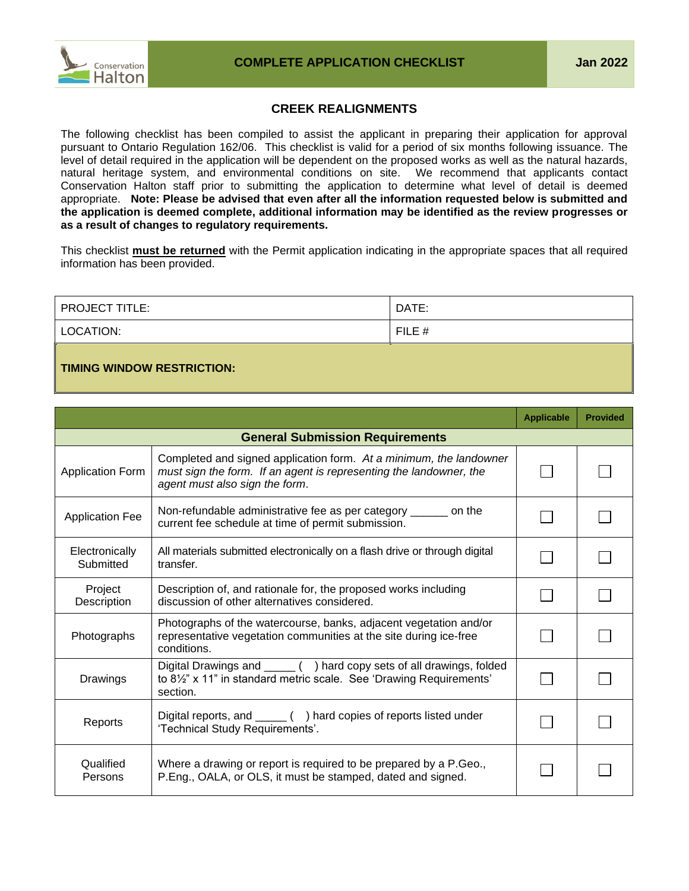## **CREEK REALIGNMENTS**

The following checklist has been compiled to assist the applicant in preparing their application for approval pursuant to Ontario Regulation 162/06. This checklist is valid for a period of six months following issuance. The level of detail required in the application will be dependent on the proposed works as well as the natural hazards, natural heritage system, and environmental conditions on site. We recommend that applicants contact Conservation Halton staff prior to submitting the application to determine what level of detail is deemed appropriate. **Note: Please be advised that even after all the information requested below is submitted and the application is deemed complete, additional information may be identified as the review progresses or as a result of changes to regulatory requirements.**

This checklist **must be returned** with the Permit application indicating in the appropriate spaces that all required information has been provided.

| <b>PROJECT TITLE:</b> | DATE:    |
|-----------------------|----------|
| LOCATION:             | $FILE$ # |
|                       |          |

## **TIMING WINDOW RESTRICTION:**

|                             |                                                                                                                                                                            | <b>Applicable</b> | <b>Provided</b> |
|-----------------------------|----------------------------------------------------------------------------------------------------------------------------------------------------------------------------|-------------------|-----------------|
|                             | <b>General Submission Requirements</b>                                                                                                                                     |                   |                 |
| <b>Application Form</b>     | Completed and signed application form. At a minimum, the landowner<br>must sign the form. If an agent is representing the landowner, the<br>agent must also sign the form. |                   |                 |
| <b>Application Fee</b>      | Non-refundable administrative fee as per category _______ on the<br>current fee schedule at time of permit submission.                                                     |                   |                 |
| Electronically<br>Submitted | All materials submitted electronically on a flash drive or through digital<br>transfer.                                                                                    |                   |                 |
| Project<br>Description      | Description of, and rationale for, the proposed works including<br>discussion of other alternatives considered.                                                            |                   |                 |
| Photographs                 | Photographs of the watercourse, banks, adjacent vegetation and/or<br>representative vegetation communities at the site during ice-free<br>conditions.                      |                   |                 |
| Drawings                    | Digital Drawings and ______ () hard copy sets of all drawings, folded<br>to 8 <sup>1/2"</sup> x 11" in standard metric scale. See 'Drawing Requirements'<br>section.       |                   |                 |
| Reports                     | Digital reports, and ______ () hard copies of reports listed under<br>'Technical Study Requirements'.                                                                      |                   |                 |
| Qualified<br>Persons        | Where a drawing or report is required to be prepared by a P.Geo.,<br>P.Eng., OALA, or OLS, it must be stamped, dated and signed.                                           |                   |                 |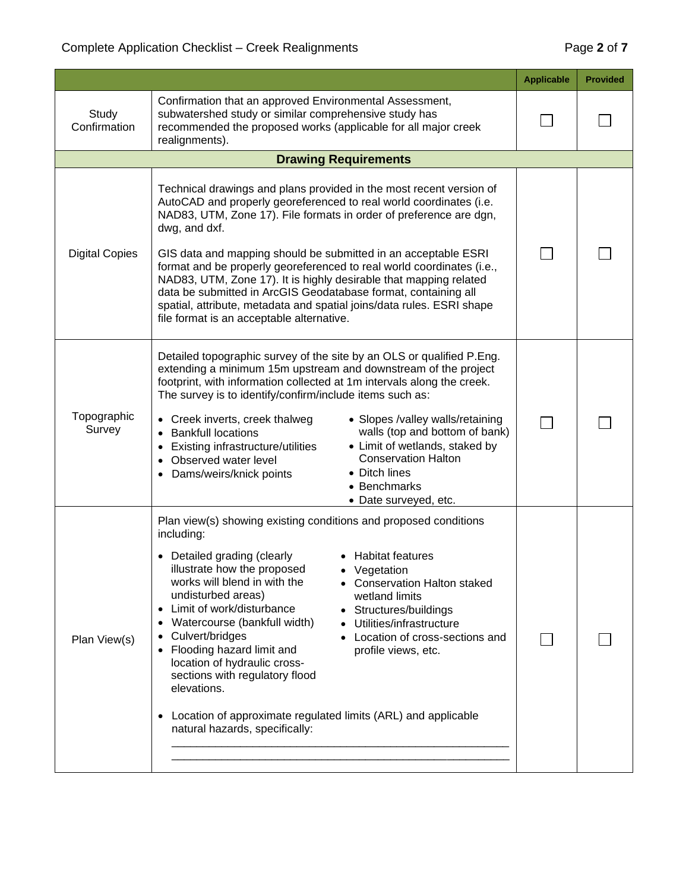|                       |                                                                                                                                                                                                                                                                                                                                                                                                                                                                                                                                                                                                                                                                                                                              | <b>Applicable</b> | <b>Provided</b> |
|-----------------------|------------------------------------------------------------------------------------------------------------------------------------------------------------------------------------------------------------------------------------------------------------------------------------------------------------------------------------------------------------------------------------------------------------------------------------------------------------------------------------------------------------------------------------------------------------------------------------------------------------------------------------------------------------------------------------------------------------------------------|-------------------|-----------------|
| Study<br>Confirmation | Confirmation that an approved Environmental Assessment,<br>subwatershed study or similar comprehensive study has<br>recommended the proposed works (applicable for all major creek<br>realignments).                                                                                                                                                                                                                                                                                                                                                                                                                                                                                                                         |                   |                 |
|                       | <b>Drawing Requirements</b>                                                                                                                                                                                                                                                                                                                                                                                                                                                                                                                                                                                                                                                                                                  |                   |                 |
| <b>Digital Copies</b> | Technical drawings and plans provided in the most recent version of<br>AutoCAD and properly georeferenced to real world coordinates (i.e.<br>NAD83, UTM, Zone 17). File formats in order of preference are dgn,<br>dwg, and dxf.<br>GIS data and mapping should be submitted in an acceptable ESRI<br>format and be properly georeferenced to real world coordinates (i.e.,<br>NAD83, UTM, Zone 17). It is highly desirable that mapping related<br>data be submitted in ArcGIS Geodatabase format, containing all<br>spatial, attribute, metadata and spatial joins/data rules. ESRI shape<br>file format is an acceptable alternative.                                                                                     |                   |                 |
| Topographic<br>Survey | Detailed topographic survey of the site by an OLS or qualified P.Eng.<br>extending a minimum 15m upstream and downstream of the project<br>footprint, with information collected at 1m intervals along the creek.<br>The survey is to identify/confirm/include items such as:<br>• Slopes /valley walls/retaining<br>• Creek inverts, creek thalweg<br>walls (top and bottom of bank)<br><b>Bankfull locations</b><br>• Limit of wetlands, staked by<br>Existing infrastructure/utilities<br>٠<br><b>Conservation Halton</b><br>Observed water level<br>$\bullet$<br>• Ditch lines<br>Dams/weirs/knick points<br>$\bullet$<br>• Benchmarks<br>• Date surveyed, etc.                                                          |                   |                 |
| Plan View(s)          | Plan view(s) showing existing conditions and proposed conditions<br>including:<br>• Habitat features<br>• Detailed grading (clearly<br>illustrate how the proposed<br>• Vegetation<br>works will blend in with the<br>• Conservation Halton staked<br>undisturbed areas)<br>wetland limits<br>Limit of work/disturbance<br>• Structures/buildings<br>$\bullet$<br>Watercourse (bankfull width)<br>Utilities/infrastructure<br>Culvert/bridges<br>Location of cross-sections and<br>Flooding hazard limit and<br>profile views, etc.<br>location of hydraulic cross-<br>sections with regulatory flood<br>elevations.<br>Location of approximate regulated limits (ARL) and applicable<br>٠<br>natural hazards, specifically: |                   |                 |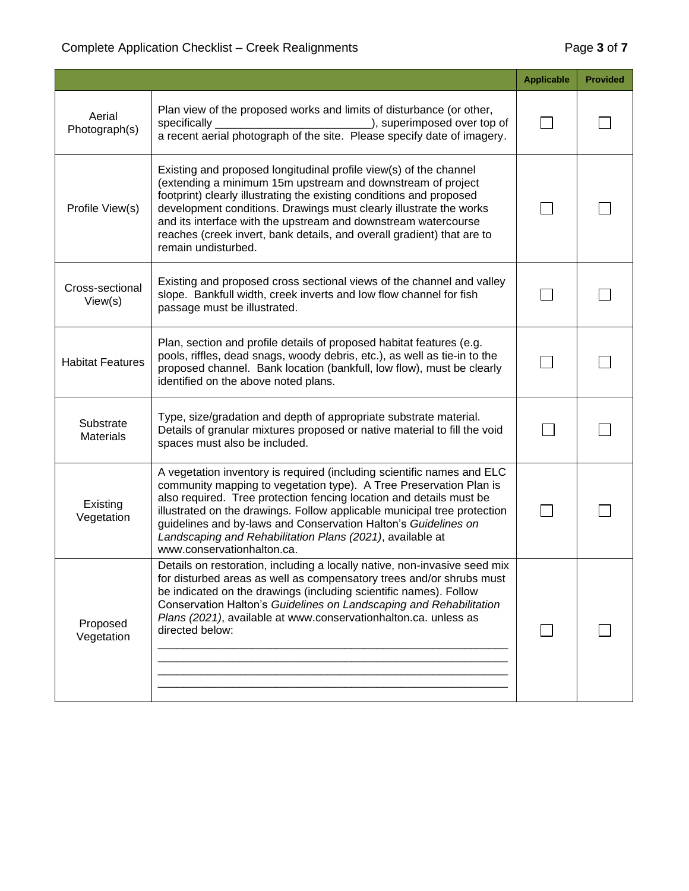## Complete Application Checklist – Creek Realignments **Page 3** of **7**

|                               |                                                                                                                                                                                                                                                                                                                                                                                                                                                              | <b>Applicable</b> | <b>Provided</b> |
|-------------------------------|--------------------------------------------------------------------------------------------------------------------------------------------------------------------------------------------------------------------------------------------------------------------------------------------------------------------------------------------------------------------------------------------------------------------------------------------------------------|-------------------|-----------------|
| Aerial<br>Photograph(s)       | Plan view of the proposed works and limits of disturbance (or other,<br>specifically<br>), superimposed over top of<br>a recent aerial photograph of the site. Please specify date of imagery.                                                                                                                                                                                                                                                               |                   |                 |
| Profile View(s)               | Existing and proposed longitudinal profile view(s) of the channel<br>(extending a minimum 15m upstream and downstream of project<br>footprint) clearly illustrating the existing conditions and proposed<br>development conditions. Drawings must clearly illustrate the works<br>and its interface with the upstream and downstream watercourse<br>reaches (creek invert, bank details, and overall gradient) that are to<br>remain undisturbed.            |                   |                 |
| Cross-sectional<br>View(s)    | Existing and proposed cross sectional views of the channel and valley<br>slope. Bankfull width, creek inverts and low flow channel for fish<br>passage must be illustrated.                                                                                                                                                                                                                                                                                  |                   |                 |
| <b>Habitat Features</b>       | Plan, section and profile details of proposed habitat features (e.g.<br>pools, riffles, dead snags, woody debris, etc.), as well as tie-in to the<br>proposed channel. Bank location (bankfull, low flow), must be clearly<br>identified on the above noted plans.                                                                                                                                                                                           |                   |                 |
| Substrate<br><b>Materials</b> | Type, size/gradation and depth of appropriate substrate material.<br>Details of granular mixtures proposed or native material to fill the void<br>spaces must also be included.                                                                                                                                                                                                                                                                              |                   |                 |
| Existing<br>Vegetation        | A vegetation inventory is required (including scientific names and ELC<br>community mapping to vegetation type). A Tree Preservation Plan is<br>also required. Tree protection fencing location and details must be<br>illustrated on the drawings. Follow applicable municipal tree protection<br>guidelines and by-laws and Conservation Halton's Guidelines on<br>Landscaping and Rehabilitation Plans (2021), available at<br>www.conservationhalton.ca. |                   |                 |
| Proposed<br>Vegetation        | Details on restoration, including a locally native, non-invasive seed mix<br>for disturbed areas as well as compensatory trees and/or shrubs must<br>be indicated on the drawings (including scientific names). Follow<br>Conservation Halton's Guidelines on Landscaping and Rehabilitation<br>Plans (2021), available at www.conservationhalton.ca. unless as<br>directed below:                                                                           |                   |                 |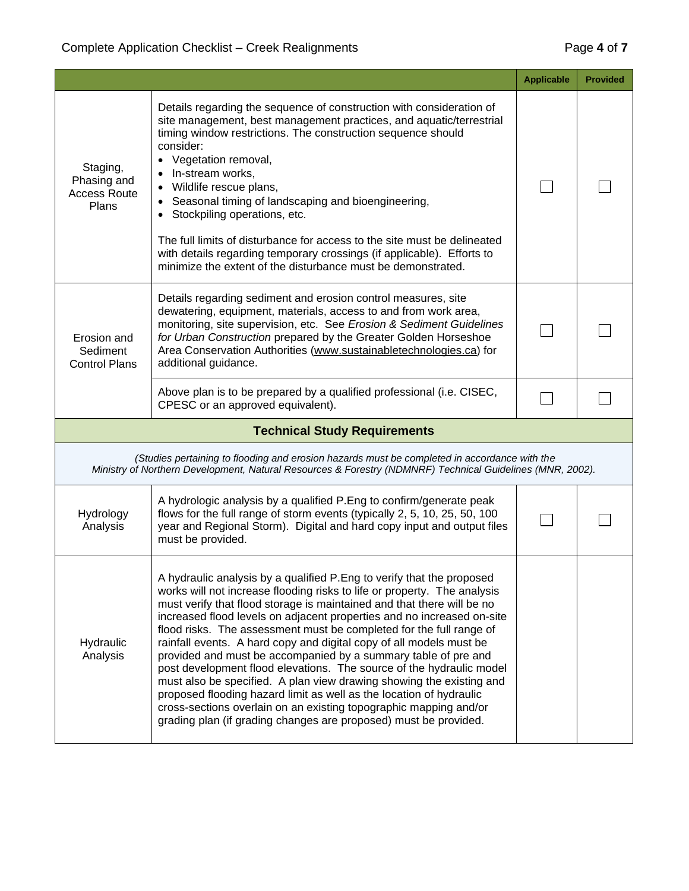|                                                                                                                                                                                                                                                                                                                                                                                                                              |                                                                                                                                                                                                                                                                                                                                                                                                                                                                                                                                                                                                                                                                                                                                                                                                                                                                                        | <b>Applicable</b> | <b>Provided</b> |  |
|------------------------------------------------------------------------------------------------------------------------------------------------------------------------------------------------------------------------------------------------------------------------------------------------------------------------------------------------------------------------------------------------------------------------------|----------------------------------------------------------------------------------------------------------------------------------------------------------------------------------------------------------------------------------------------------------------------------------------------------------------------------------------------------------------------------------------------------------------------------------------------------------------------------------------------------------------------------------------------------------------------------------------------------------------------------------------------------------------------------------------------------------------------------------------------------------------------------------------------------------------------------------------------------------------------------------------|-------------------|-----------------|--|
| Staging,<br>Phasing and<br><b>Access Route</b><br>Plans                                                                                                                                                                                                                                                                                                                                                                      | Details regarding the sequence of construction with consideration of<br>site management, best management practices, and aquatic/terrestrial<br>timing window restrictions. The construction sequence should<br>consider:<br>• Vegetation removal,<br>In-stream works,<br>Wildlife rescue plans,<br>Seasonal timing of landscaping and bioengineering,<br>• Stockpiling operations, etc.<br>The full limits of disturbance for access to the site must be delineated<br>with details regarding temporary crossings (if applicable). Efforts to<br>minimize the extent of the disturbance must be demonstrated.                                                                                                                                                                                                                                                                          |                   |                 |  |
| Details regarding sediment and erosion control measures, site<br>dewatering, equipment, materials, access to and from work area,<br>monitoring, site supervision, etc. See Erosion & Sediment Guidelines<br>for Urban Construction prepared by the Greater Golden Horseshoe<br>Erosion and<br>Area Conservation Authorities (www.sustainabletechnologies.ca) for<br>Sediment<br>additional guidance.<br><b>Control Plans</b> |                                                                                                                                                                                                                                                                                                                                                                                                                                                                                                                                                                                                                                                                                                                                                                                                                                                                                        |                   |                 |  |
|                                                                                                                                                                                                                                                                                                                                                                                                                              | Above plan is to be prepared by a qualified professional (i.e. CISEC,<br>CPESC or an approved equivalent).                                                                                                                                                                                                                                                                                                                                                                                                                                                                                                                                                                                                                                                                                                                                                                             |                   |                 |  |
|                                                                                                                                                                                                                                                                                                                                                                                                                              | <b>Technical Study Requirements</b>                                                                                                                                                                                                                                                                                                                                                                                                                                                                                                                                                                                                                                                                                                                                                                                                                                                    |                   |                 |  |
|                                                                                                                                                                                                                                                                                                                                                                                                                              | (Studies pertaining to flooding and erosion hazards must be completed in accordance with the<br>Ministry of Northern Development, Natural Resources & Forestry (NDMNRF) Technical Guidelines (MNR, 2002).                                                                                                                                                                                                                                                                                                                                                                                                                                                                                                                                                                                                                                                                              |                   |                 |  |
| Hydrology<br>Analysis                                                                                                                                                                                                                                                                                                                                                                                                        | A hydrologic analysis by a qualified P.Eng to confirm/generate peak<br>flows for the full range of storm events (typically 2, 5, 10, 25, 50, 100<br>year and Regional Storm). Digital and hard copy input and output files<br>must be provided.                                                                                                                                                                                                                                                                                                                                                                                                                                                                                                                                                                                                                                        |                   |                 |  |
| Hydraulic<br>Analysis                                                                                                                                                                                                                                                                                                                                                                                                        | A hydraulic analysis by a qualified P. Eng to verify that the proposed<br>works will not increase flooding risks to life or property. The analysis<br>must verify that flood storage is maintained and that there will be no<br>increased flood levels on adjacent properties and no increased on-site<br>flood risks. The assessment must be completed for the full range of<br>rainfall events. A hard copy and digital copy of all models must be<br>provided and must be accompanied by a summary table of pre and<br>post development flood elevations. The source of the hydraulic model<br>must also be specified. A plan view drawing showing the existing and<br>proposed flooding hazard limit as well as the location of hydraulic<br>cross-sections overlain on an existing topographic mapping and/or<br>grading plan (if grading changes are proposed) must be provided. |                   |                 |  |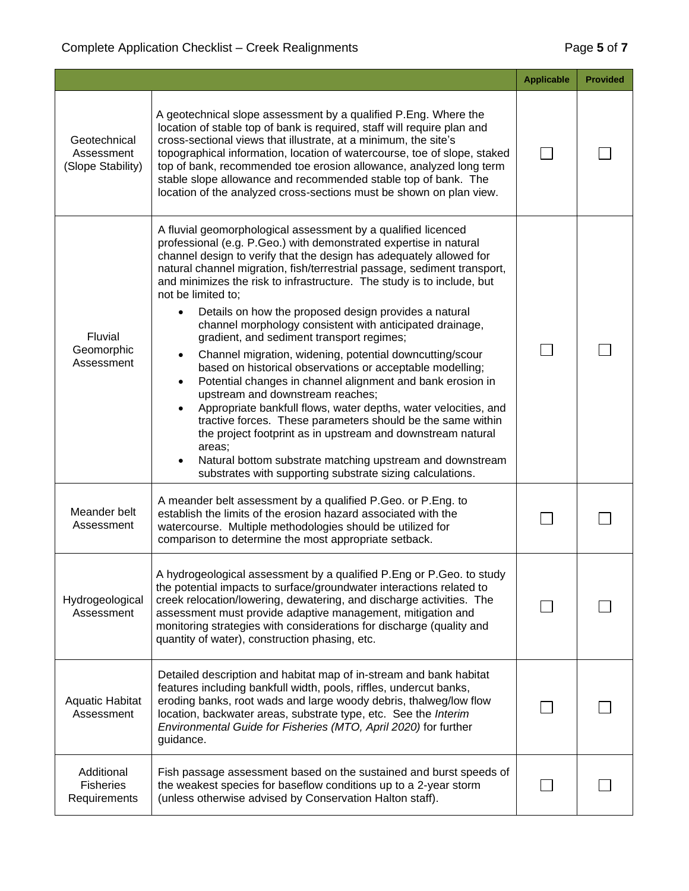|                                                 |                                                                                                                                                                                                                                                                                                                                                                                                                                                                                                                                                                                                                                                                                                                                                                                                                                                                                                                                                                                                                                                                                                                                                                     | <b>Applicable</b> | <b>Provided</b> |
|-------------------------------------------------|---------------------------------------------------------------------------------------------------------------------------------------------------------------------------------------------------------------------------------------------------------------------------------------------------------------------------------------------------------------------------------------------------------------------------------------------------------------------------------------------------------------------------------------------------------------------------------------------------------------------------------------------------------------------------------------------------------------------------------------------------------------------------------------------------------------------------------------------------------------------------------------------------------------------------------------------------------------------------------------------------------------------------------------------------------------------------------------------------------------------------------------------------------------------|-------------------|-----------------|
| Geotechnical<br>Assessment<br>(Slope Stability) | A geotechnical slope assessment by a qualified P.Eng. Where the<br>location of stable top of bank is required, staff will require plan and<br>cross-sectional views that illustrate, at a minimum, the site's<br>topographical information, location of watercourse, toe of slope, staked<br>top of bank, recommended toe erosion allowance, analyzed long term<br>stable slope allowance and recommended stable top of bank. The<br>location of the analyzed cross-sections must be shown on plan view.                                                                                                                                                                                                                                                                                                                                                                                                                                                                                                                                                                                                                                                            |                   |                 |
| <b>Fluvial</b><br>Geomorphic<br>Assessment      | A fluvial geomorphological assessment by a qualified licenced<br>professional (e.g. P.Geo.) with demonstrated expertise in natural<br>channel design to verify that the design has adequately allowed for<br>natural channel migration, fish/terrestrial passage, sediment transport,<br>and minimizes the risk to infrastructure. The study is to include, but<br>not be limited to;<br>Details on how the proposed design provides a natural<br>$\bullet$<br>channel morphology consistent with anticipated drainage,<br>gradient, and sediment transport regimes;<br>Channel migration, widening, potential downcutting/scour<br>٠<br>based on historical observations or acceptable modelling;<br>Potential changes in channel alignment and bank erosion in<br>$\bullet$<br>upstream and downstream reaches;<br>Appropriate bankfull flows, water depths, water velocities, and<br>$\bullet$<br>tractive forces. These parameters should be the same within<br>the project footprint as in upstream and downstream natural<br>areas;<br>Natural bottom substrate matching upstream and downstream<br>substrates with supporting substrate sizing calculations. |                   |                 |
| Meander belt<br>Assessment                      | A meander belt assessment by a qualified P.Geo. or P.Eng. to<br>establish the limits of the erosion hazard associated with the<br>watercourse. Multiple methodologies should be utilized for<br>comparison to determine the most appropriate setback.                                                                                                                                                                                                                                                                                                                                                                                                                                                                                                                                                                                                                                                                                                                                                                                                                                                                                                               |                   |                 |
| Hydrogeological<br>Assessment                   | A hydrogeological assessment by a qualified P.Eng or P.Geo. to study<br>the potential impacts to surface/groundwater interactions related to<br>creek relocation/lowering, dewatering, and discharge activities. The<br>assessment must provide adaptive management, mitigation and<br>monitoring strategies with considerations for discharge (quality and<br>quantity of water), construction phasing, etc.                                                                                                                                                                                                                                                                                                                                                                                                                                                                                                                                                                                                                                                                                                                                                       |                   |                 |
| <b>Aquatic Habitat</b><br>Assessment            | Detailed description and habitat map of in-stream and bank habitat<br>features including bankfull width, pools, riffles, undercut banks,<br>eroding banks, root wads and large woody debris, thalweg/low flow<br>location, backwater areas, substrate type, etc. See the Interim<br>Environmental Guide for Fisheries (MTO, April 2020) for further<br>guidance.                                                                                                                                                                                                                                                                                                                                                                                                                                                                                                                                                                                                                                                                                                                                                                                                    |                   |                 |
| Additional<br><b>Fisheries</b><br>Requirements  | Fish passage assessment based on the sustained and burst speeds of<br>the weakest species for baseflow conditions up to a 2-year storm<br>(unless otherwise advised by Conservation Halton staff).                                                                                                                                                                                                                                                                                                                                                                                                                                                                                                                                                                                                                                                                                                                                                                                                                                                                                                                                                                  |                   |                 |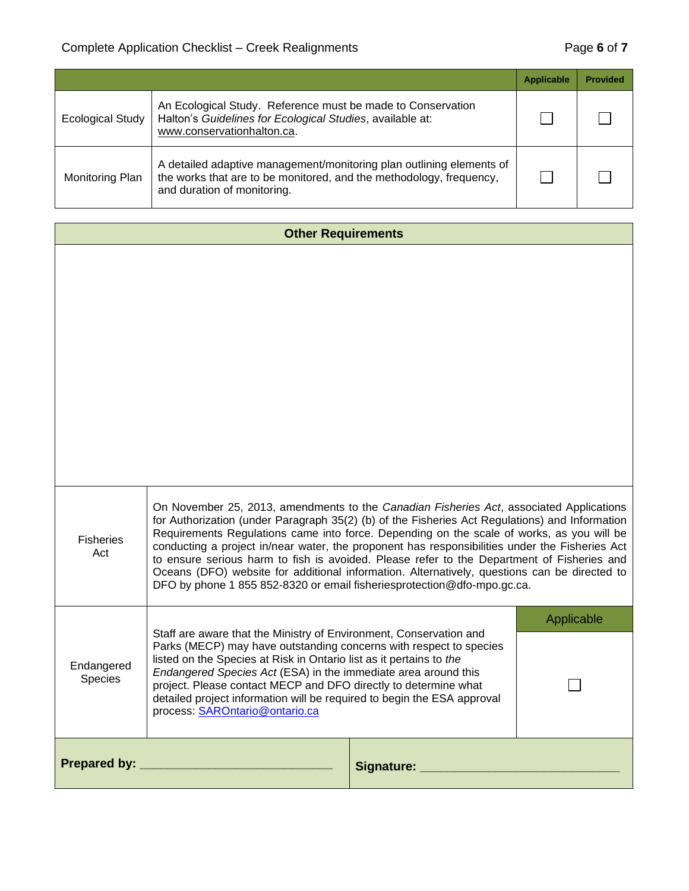|                         |                                                                                                                                                                            | <b>Applicable</b> | <b>Provided</b> |
|-------------------------|----------------------------------------------------------------------------------------------------------------------------------------------------------------------------|-------------------|-----------------|
| <b>Ecological Study</b> | An Ecological Study. Reference must be made to Conservation<br>Halton's Guidelines for Ecological Studies, available at:<br>www.conservationhalton.ca.                     |                   |                 |
| Monitoring Plan         | A detailed adaptive management/monitoring plan outlining elements of<br>the works that are to be monitored, and the methodology, frequency,<br>and duration of monitoring. |                   |                 |

| <b>Other Requirements</b>                                                                                                                                                                                                                                                                                                                                                                                                                                                                                                                                                                                                                                                                    |  |               |            |
|----------------------------------------------------------------------------------------------------------------------------------------------------------------------------------------------------------------------------------------------------------------------------------------------------------------------------------------------------------------------------------------------------------------------------------------------------------------------------------------------------------------------------------------------------------------------------------------------------------------------------------------------------------------------------------------------|--|---------------|------------|
|                                                                                                                                                                                                                                                                                                                                                                                                                                                                                                                                                                                                                                                                                              |  |               |            |
| On November 25, 2013, amendments to the Canadian Fisheries Act, associated Applications<br>for Authorization (under Paragraph 35(2) (b) of the Fisheries Act Regulations) and Information<br>Requirements Regulations came into force. Depending on the scale of works, as you will be<br><b>Fisheries</b><br>conducting a project in/near water, the proponent has responsibilities under the Fisheries Act<br>Act<br>to ensure serious harm to fish is avoided. Please refer to the Department of Fisheries and<br>Oceans (DFO) website for additional information. Alternatively, questions can be directed to<br>DFO by phone 1 855 852-8320 or email fisheriesprotection@dfo-mpo.gc.ca. |  |               |            |
|                                                                                                                                                                                                                                                                                                                                                                                                                                                                                                                                                                                                                                                                                              |  |               | Applicable |
| Staff are aware that the Ministry of Environment, Conservation and<br>Parks (MECP) may have outstanding concerns with respect to species<br>listed on the Species at Risk in Ontario list as it pertains to the<br>Endangered<br>Endangered Species Act (ESA) in the immediate area around this<br>Species<br>project. Please contact MECP and DFO directly to determine what<br>detailed project information will be required to begin the ESA approval<br>process: SAROntario@ontario.ca                                                                                                                                                                                                   |  |               |            |
| Prepared by: _                                                                                                                                                                                                                                                                                                                                                                                                                                                                                                                                                                                                                                                                               |  | Signature: __ |            |